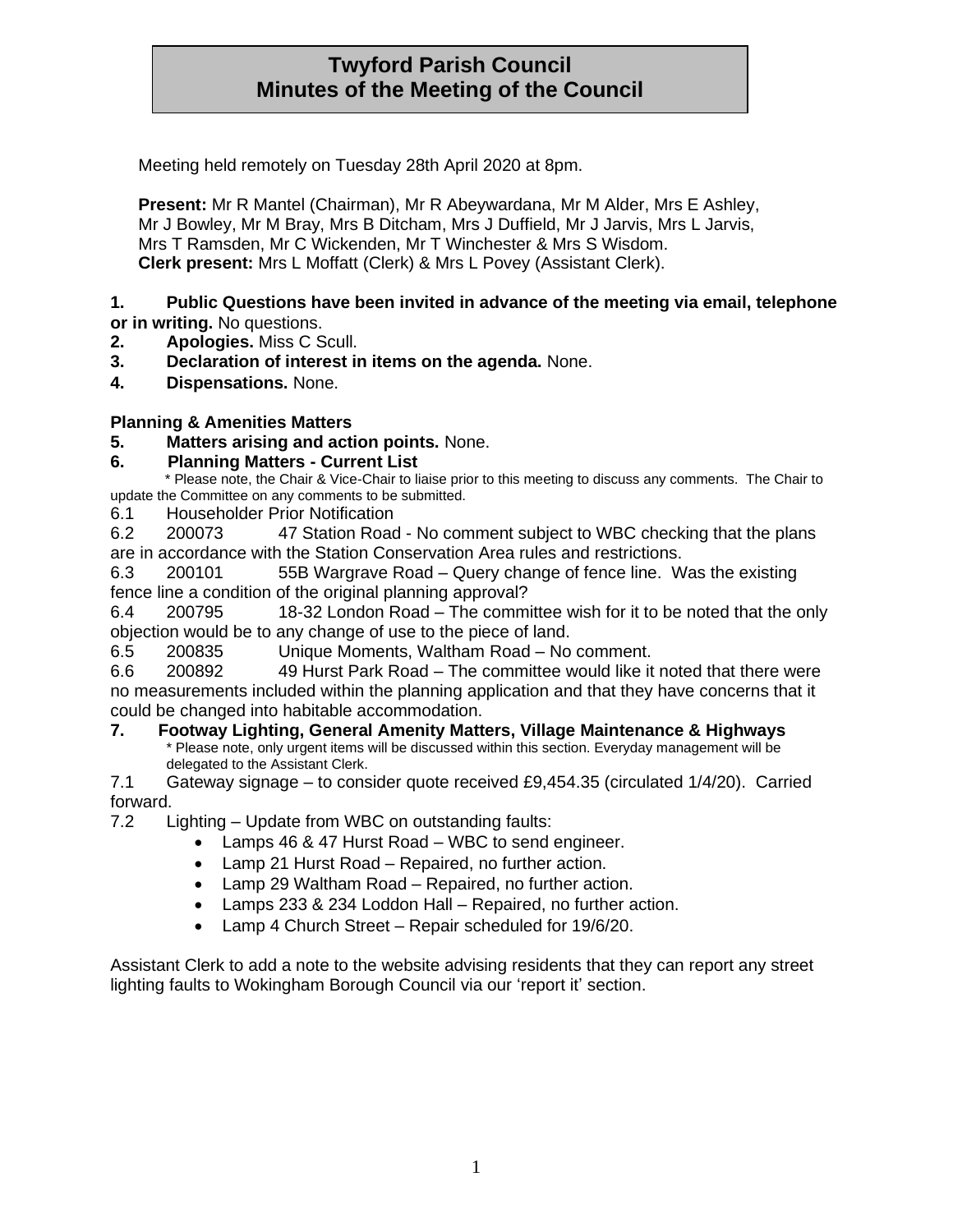## **Twyford Parish Council Minutes of the Meeting of the Council**

Meeting held remotely on Tuesday 28th April 2020 at 8pm.

**Present:** Mr R Mantel (Chairman), Mr R Abeywardana, Mr M Alder, Mrs E Ashley, Mr J Bowley, Mr M Bray, Mrs B Ditcham, Mrs J Duffield, Mr J Jarvis, Mrs L Jarvis, Mrs T Ramsden, Mr C Wickenden, Mr T Winchester & Mrs S Wisdom. **Clerk present:** Mrs L Moffatt (Clerk) & Mrs L Povey (Assistant Clerk).

#### **1. Public Questions have been invited in advance of the meeting via email, telephone or in writing.** No questions.

- **2. Apologies.** Miss C Scull.
- **3. Declaration of interest in items on the agenda.** None.
- **4. Dispensations.** None.

#### **Planning & Amenities Matters**

**5. Matters arising and action points.** None.

#### **6. Planning Matters - Current List**

 \* Please note, the Chair & Vice-Chair to liaise prior to this meeting to discuss any comments. The Chair to update the Committee on any comments to be submitted.

6.1 Householder Prior Notification

6.2 200073 47 Station Road - No comment subject to WBC checking that the plans are in accordance with the Station Conservation Area rules and restrictions.

6.3 200101 55B Wargrave Road – Query change of fence line. Was the existing fence line a condition of the original planning approval?

6.4 200795 18-32 London Road – The committee wish for it to be noted that the only objection would be to any change of use to the piece of land.

6.5 200835 Unique Moments, Waltham Road – No comment.

6.6 200892 49 Hurst Park Road – The committee would like it noted that there were no measurements included within the planning application and that they have concerns that it could be changed into habitable accommodation.

#### **7. Footway Lighting, General Amenity Matters, Village Maintenance & Highways**

Please note, only urgent items will be discussed within this section. Everyday management will be delegated to the Assistant Clerk.

7.1 Gateway signage – to consider quote received £9,454.35 (circulated 1/4/20). Carried forward.<br>7.2

Lighting – Update from WBC on outstanding faults:

- Lamps 46 & 47 Hurst Road WBC to send engineer.
- Lamp 21 Hurst Road Repaired, no further action.
- Lamp 29 Waltham Road Repaired, no further action.
- Lamps 233 & 234 Loddon Hall Repaired, no further action.
- Lamp 4 Church Street Repair scheduled for 19/6/20.

Assistant Clerk to add a note to the website advising residents that they can report any street lighting faults to Wokingham Borough Council via our 'report it' section.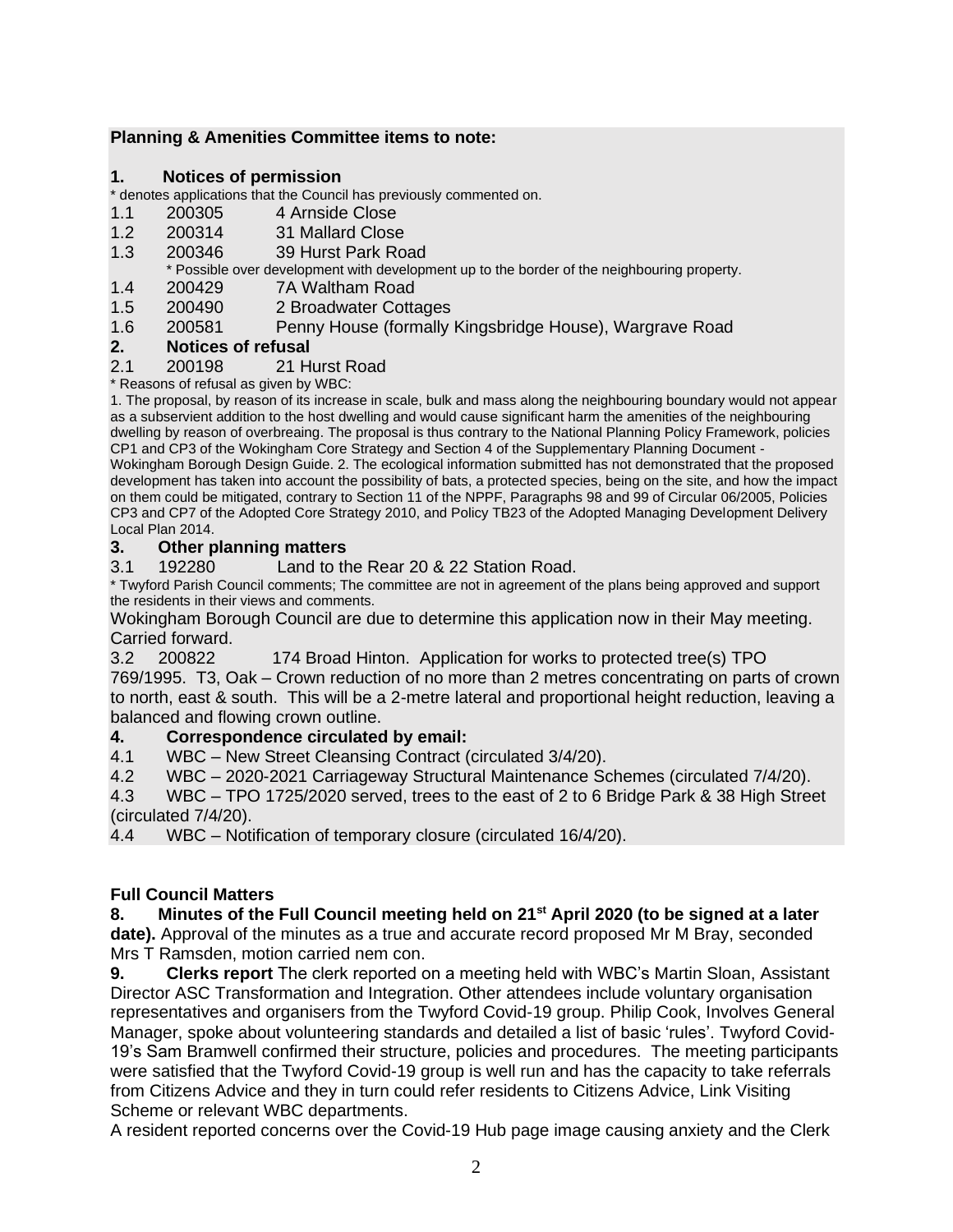#### **Planning & Amenities Committee items to note:**

#### **1. Notices of permission**

#### \* denotes applications that the Council has previously commented on.

- 1.1 200305 4 Arnside Close
- 1.2 200314 31 Mallard Close
- 1.3 200346 39 Hurst Park Road
- \* Possible over development with development up to the border of the neighbouring property.
- 1.4 200429 7A Waltham Road
- 1.5 200490 2 Broadwater Cottages
- 1.6 200581 Penny House (formally Kingsbridge House), Wargrave Road

#### **2. Notices of refusal**

#### 2.1 200198 21 Hurst Road

\* Reasons of refusal as given by WBC:

1. The proposal, by reason of its increase in scale, bulk and mass along the neighbouring boundary would not appear as a subservient addition to the host dwelling and would cause significant harm the amenities of the neighbouring dwelling by reason of overbreaing. The proposal is thus contrary to the National Planning Policy Framework, policies CP1 and CP3 of the Wokingham Core Strategy and Section 4 of the Supplementary Planning Document - Wokingham Borough Design Guide. 2. The ecological information submitted has not demonstrated that the proposed development has taken into account the possibility of bats, a protected species, being on the site, and how the impact on them could be mitigated, contrary to Section 11 of the NPPF, Paragraphs 98 and 99 of Circular 06/2005, Policies CP3 and CP7 of the Adopted Core Strategy 2010, and Policy TB23 of the Adopted Managing Development Delivery

#### Local Plan 2014. **3. Other planning matters**

3.1 192280 Land to the Rear 20 & 22 Station Road.

\* Twyford Parish Council comments; The committee are not in agreement of the plans being approved and support the residents in their views and comments.

Wokingham Borough Council are due to determine this application now in their May meeting. Carried forward.

3.2 200822 174 Broad Hinton. Application for works to protected tree(s) TPO 769/1995. T3, Oak – Crown reduction of no more than 2 metres concentrating on parts of crown to north, east & south. This will be a 2-metre lateral and proportional height reduction, leaving a balanced and flowing crown outline.

#### **4. Correspondence circulated by email:**

4.1 WBC – New Street Cleansing Contract (circulated 3/4/20).

4.2 WBC – 2020-2021 Carriageway Structural Maintenance Schemes (circulated 7/4/20).

4.3 WBC – TPO 1725/2020 served, trees to the east of 2 to 6 Bridge Park & 38 High Street (circulated 7/4/20).

4.4 WBC – Notification of temporary closure (circulated 16/4/20).

#### **Full Council Matters**

# **8. Minutes of the Full Council meeting held on 21st April 2020 (to be signed at a later**

**date).** Approval of the minutes as a true and accurate record proposed Mr M Bray, seconded Mrs T Ramsden, motion carried nem con.

**9. Clerks report** The clerk reported on a meeting held with WBC's Martin Sloan, Assistant Director ASC Transformation and Integration. Other attendees include voluntary organisation representatives and organisers from the Twyford Covid-19 group. Philip Cook, Involves General Manager, spoke about volunteering standards and detailed a list of basic 'rules'. Twyford Covid-19's Sam Bramwell confirmed their structure, policies and procedures. The meeting participants were satisfied that the Twyford Covid-19 group is well run and has the capacity to take referrals from Citizens Advice and they in turn could refer residents to Citizens Advice, Link Visiting Scheme or relevant WBC departments.

A resident reported concerns over the Covid-19 Hub page image causing anxiety and the Clerk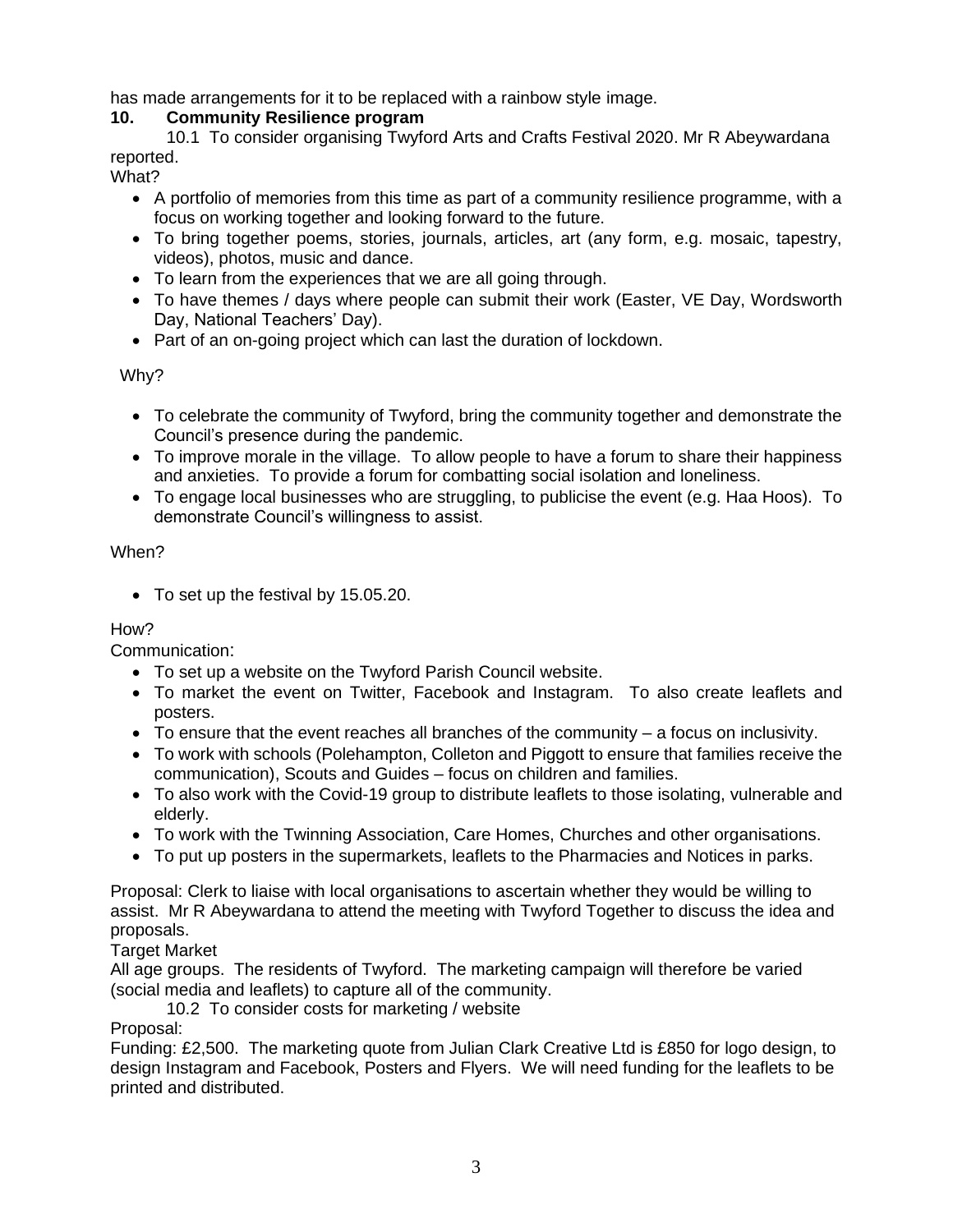has made arrangements for it to be replaced with a rainbow style image.

#### **10. Community Resilience program**

10.1 To consider organising Twyford Arts and Crafts Festival 2020. Mr R Abeywardana reported.

What?

- A portfolio of memories from this time as part of a community resilience programme, with a focus on working together and looking forward to the future.
- To bring together poems, stories, journals, articles, art (any form, e.g. mosaic, tapestry, videos), photos, music and dance.
- To learn from the experiences that we are all going through.
- To have themes / days where people can submit their work (Easter, VE Day, Wordsworth Day, National Teachers' Day).
- Part of an on-going project which can last the duration of lockdown.

Why?

- To celebrate the community of Twyford, bring the community together and demonstrate the Council's presence during the pandemic.
- To improve morale in the village. To allow people to have a forum to share their happiness and anxieties. To provide a forum for combatting social isolation and loneliness.
- To engage local businesses who are struggling, to publicise the event (e.g. Haa Hoos). To demonstrate Council's willingness to assist.

#### When?

• To set up the festival by 15.05.20.

### How?

Communication:

- To set up a website on the Twyford Parish Council website.
- To market the event on Twitter, Facebook and Instagram. To also create leaflets and posters.
- To ensure that the event reaches all branches of the community a focus on inclusivity.
- To work with schools (Polehampton, Colleton and Piggott to ensure that families receive the communication), Scouts and Guides – focus on children and families.
- To also work with the Covid-19 group to distribute leaflets to those isolating, vulnerable and elderly.
- To work with the Twinning Association, Care Homes, Churches and other organisations.
- To put up posters in the supermarkets, leaflets to the Pharmacies and Notices in parks.

Proposal: Clerk to liaise with local organisations to ascertain whether they would be willing to assist. Mr R Abeywardana to attend the meeting with Twyford Together to discuss the idea and proposals.

Target Market

All age groups. The residents of Twyford. The marketing campaign will therefore be varied (social media and leaflets) to capture all of the community.

10.2 To consider costs for marketing / website

Proposal:

Funding: £2,500. The marketing quote from Julian Clark Creative Ltd is £850 for logo design, to design Instagram and Facebook, Posters and Flyers. We will need funding for the leaflets to be printed and distributed.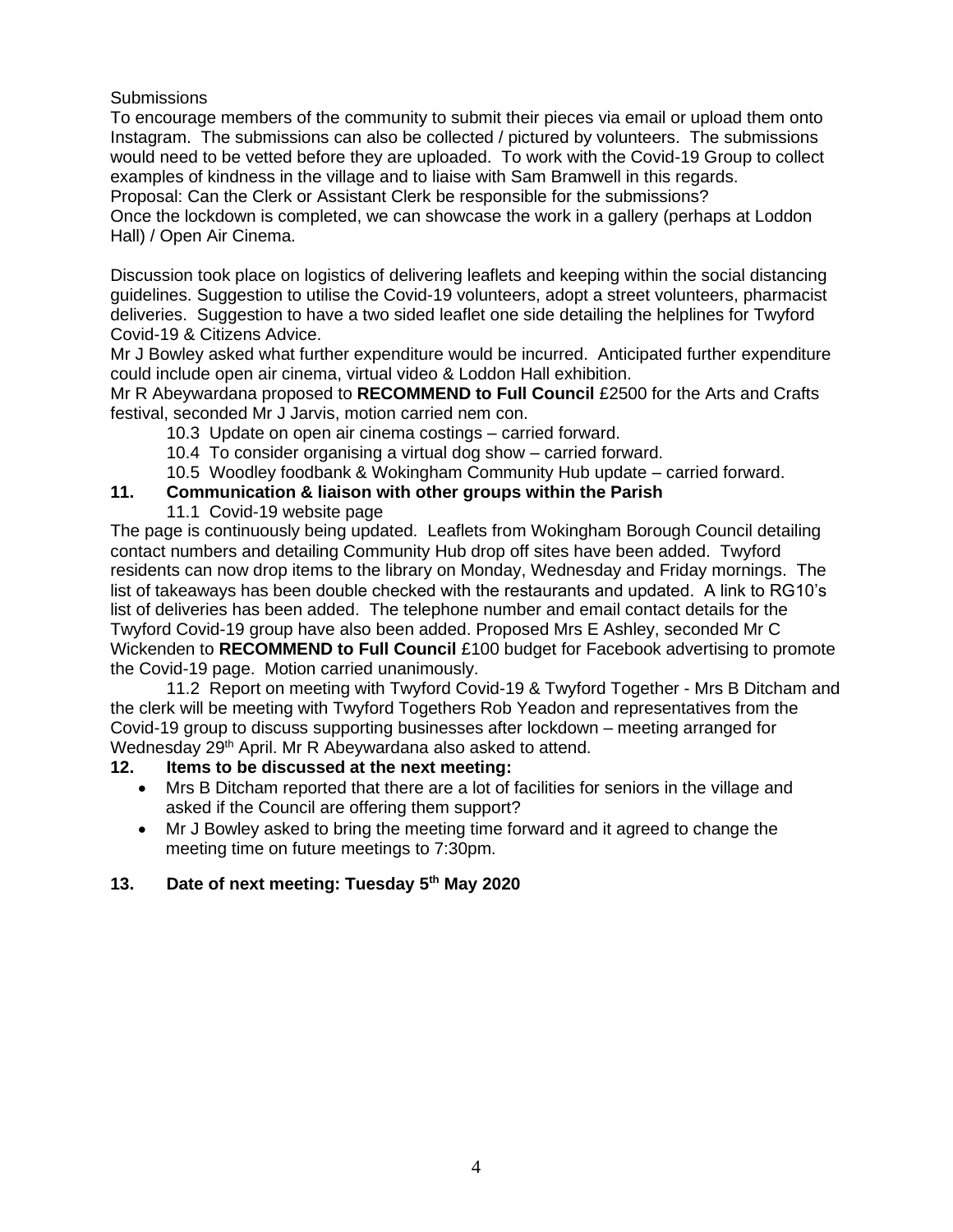**Submissions** 

To encourage members of the community to submit their pieces via email or upload them onto Instagram. The submissions can also be collected / pictured by volunteers. The submissions would need to be vetted before they are uploaded. To work with the Covid-19 Group to collect examples of kindness in the village and to liaise with Sam Bramwell in this regards. Proposal: Can the Clerk or Assistant Clerk be responsible for the submissions?

Once the lockdown is completed, we can showcase the work in a gallery (perhaps at Loddon Hall) / Open Air Cinema.

Discussion took place on logistics of delivering leaflets and keeping within the social distancing guidelines. Suggestion to utilise the Covid-19 volunteers, adopt a street volunteers, pharmacist deliveries. Suggestion to have a two sided leaflet one side detailing the helplines for Twyford Covid-19 & Citizens Advice.

Mr J Bowley asked what further expenditure would be incurred. Anticipated further expenditure could include open air cinema, virtual video & Loddon Hall exhibition.

Mr R Abeywardana proposed to **RECOMMEND to Full Council** £2500 for the Arts and Crafts festival, seconded Mr J Jarvis, motion carried nem con.

- 10.3 Update on open air cinema costings carried forward.
- 10.4 To consider organising a virtual dog show carried forward.
- 10.5 Woodley foodbank & Wokingham Community Hub update carried forward.

#### **11. Communication & liaison with other groups within the Parish**

11.1 Covid-19 website page

The page is continuously being updated. Leaflets from Wokingham Borough Council detailing contact numbers and detailing Community Hub drop off sites have been added. Twyford residents can now drop items to the library on Monday, Wednesday and Friday mornings. The list of takeaways has been double checked with the restaurants and updated. A link to RG10's list of deliveries has been added. The telephone number and email contact details for the Twyford Covid-19 group have also been added. Proposed Mrs E Ashley, seconded Mr C Wickenden to **RECOMMEND to Full Council** £100 budget for Facebook advertising to promote the Covid-19 page. Motion carried unanimously.

11.2 Report on meeting with Twyford Covid-19 & Twyford Together - Mrs B Ditcham and the clerk will be meeting with Twyford Togethers Rob Yeadon and representatives from the Covid-19 group to discuss supporting businesses after lockdown – meeting arranged for Wednesday 29<sup>th</sup> April. Mr R Abeywardana also asked to attend.

#### **12. Items to be discussed at the next meeting:**

- Mrs B Ditcham reported that there are a lot of facilities for seniors in the village and asked if the Council are offering them support?
- Mr J Bowley asked to bring the meeting time forward and it agreed to change the meeting time on future meetings to 7:30pm.

### **13. Date of next meeting: Tuesday 5th May 2020**